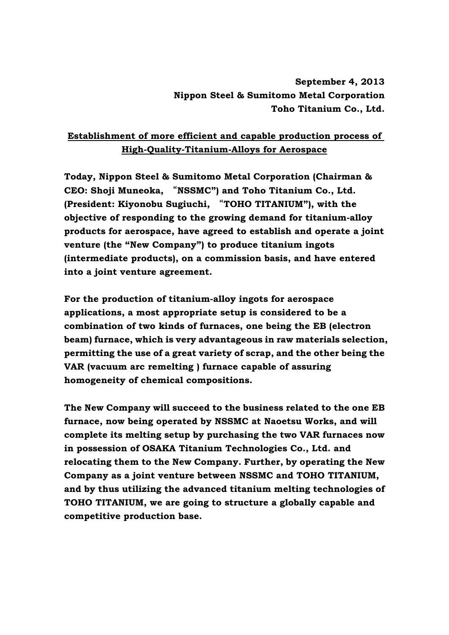## **September 4, 2013 Nippon Steel & Sumitomo Metal Corporation Toho Titanium Co., Ltd.**

## **Establishment of more efficient and capable production process of High-Quality-Titanium-Alloys for Aerospace**

**Today, Nippon Steel & Sumitomo Metal Corporation (Chairman & CEO: Shoji Muneoka,** "**NSSMC") and Toho Titanium Co., Ltd. (President: Kiyonobu Sugiuchi,** "**TOHO TITANIUM"), with the objective of responding to the growing demand for titanium-alloy products for aerospace, have agreed to establish and operate a joint venture (the "New Company") to produce titanium ingots (intermediate products), on a commission basis, and have entered into a joint venture agreement.** 

**For the production of titanium-alloy ingots for aerospace applications, a most appropriate setup is considered to be a combination of two kinds of furnaces, one being the EB (electron beam) furnace, which is very advantageous in raw materials selection, permitting the use of a great variety of scrap, and the other being the VAR (vacuum arc remelting ) furnace capable of assuring homogeneity of chemical compositions.** 

**The New Company will succeed to the business related to the one EB furnace, now being operated by NSSMC at Naoetsu Works, and will complete its melting setup by purchasing the two VAR furnaces now in possession of OSAKA Titanium Technologies Co., Ltd. and relocating them to the New Company. Further, by operating the New Company as a joint venture between NSSMC and TOHO TITANIUM, and by thus utilizing the advanced titanium melting technologies of TOHO TITANIUM, we are going to structure a globally capable and competitive production base.**